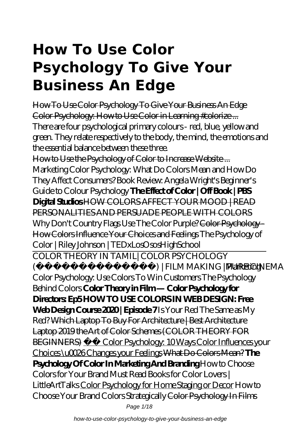# **How To Use Color Psychology To Give Your Business An Edge**

How To Use Color Psychology To Give Your Business An Edge Color Psychology: How to Use Color in Learning #colorize ... There are four psychological primary colours - red, blue, yellow and green. They relate respectively to the body, the mind, the emotions and the essential balance between these three.

How to Use the Psychology of Color to Increase Website ... *Marketing Color Psychology: What Do Colors Mean and How Do They Affect Consumers? Book Review: Angela Wright's Beginner's Guide to Colour Psychology* **The Effect of Color | Off Book | PBS Digital Studios** HOW COLORS AFFECT YOUR MOOD | READ PERSONALITIES AND PERSUADE PEOPLE WITH COLORS Why Don't Country Flags Use The Color Purple? Color Psychology -How Colors Influence Your Choices and Feelings The Psychology of Color | Riley Johnson | TEDxLosOsosHighSchool

COLOR THEORY IN TAMIL| COLOR PSYCHOLOGY ) | FILM MAKING | PURE CINEMA Marketing Color Psychology: Use Colors To Win Customers *The Psychology Behind Colors* **Color Theory in Film — Color Psychology for Directors: Ep5 HOW TO USE COLORS IN WEB DESIGN: Free Web Design Course 2020 | Episode 7** *Is Your Red The Same as My Red?* Which Laptop To Buy For Architecture | Best Architecture Laptop 2019 the Art of Color Schemes (COLOR THEORY FOR BEGINNERS) Color Psychology: 10 Ways Color Influences your Choices \u0026 Changes your Feelings What Do Colors Mean? **The Psychology Of Color In Marketing And Branding** *How to Choose Colors for Your Brand Must Read Books for Color Lovers | LittleArtTalks* Color Psychology for Home Staging or Decor *How to Choose Your Brand Colors Strategically* Color Psychology In Films Page 1/18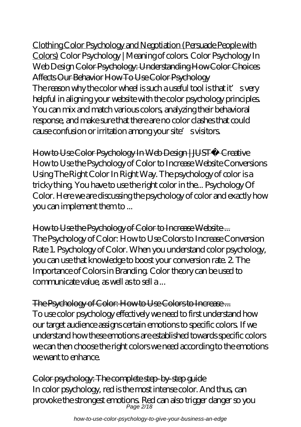how-to-use-color-psychology-to-give-your-business-an-edge

Clothing Color Psychology and Negotiation (Persuade People with Colors) *Color Psychology | Meaning of colors. Color Psychology In Web Design* Color Psychology: Understanding How Color Choices Affects Our Behavior How To Use Color Psychology The reason why the color wheel is such a useful tool is that it' svery helpful in aligning your website with the color psychology principles. You can mix and match various colors, analyzing their behavioral response, and make sure that there are no color clashes that could cause confusion or irritation among your site's visitors.

How to Use Color Psychology In Web Design | JUST™ Creative How to Use the Psychology of Color to Increase Website Conversions Using The Right Color In Right Way. The psychology of color is a tricky thing. You have to use the right color in the... Psychology Of Color. Here we are discussing the psychology of color and exactly how you can implement them to ...

How to Use the Psychology of Color to Increase Website ... The Psychology of Color: How to Use Colors to Increase Conversion Rate 1. Psychology of Color. When you understand color psychology, you can use that knowledge to boost your conversion rate. 2. The Importance of Colors in Branding. Color theory can be used to communicate value, as well as to sell a ...

The Psychology of Color: How to Use Colors to Increase... To use color psychology effectively we need to first understand how our target audience assigns certain emotions to specific colors. If we understand how these emotions are established towards specific colors we can then choose the right colors we need according to the emotions we want to enhance.

Color psychology: The complete step-by-step guide In color psychology, red is the most intense color. And thus, can provoke the strongest emotions. Red can also trigger danger so you Page 2/18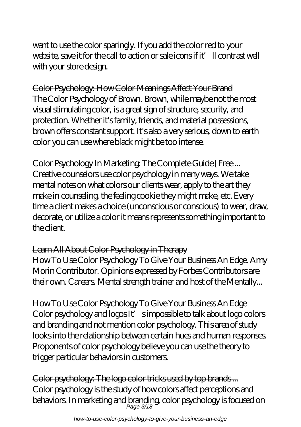want to use the color sparingly. If you add the color red to your website, save it for the call to action or sale icons if it'll contrast well with your store design.

Color Psychology: How Color Meanings Affect Your Brand The Color Psychology of Brown. Brown, while maybe not the most visual stimulating color, is a great sign of structure, security, and protection. Whether it's family, friends, and material possessions, brown offers constant support. It's also a very serious, down to earth color you can use where black might be too intense.

Color Psychology In Marketing: The Complete Guide [Free ... Creative counselors use color psychology in many ways. We take mental notes on what colors our clients wear, apply to the art they make in counseling, the feeling cookie they might make, etc. Every time a client makes a choice (unconscious or conscious) to wear, draw, decorate, or utilize a color it means represents something important to the client.

#### Learn All About Color Psychology in Therapy

How To Use Color Psychology To Give Your Business An Edge. Amy Morin Contributor. Opinions expressed by Forbes Contributors are their own. Careers. Mental strength trainer and host of the Mentally...

How To Use Color Psychology To Give Your Business An Edge Color psychology and logos It' simpossible to talk about logo colors and branding and not mention color psychology. This area of study looks into the relationship between certain hues and human responses. Proponents of color psychology believe you can use the theory to trigger particular behaviors in customers.

Color psychology: The logo color tricks used by top brands ... Color psychology is the study of how colors affect perceptions and behaviors. In marketing and branding, color psychology is focused on Page 3/18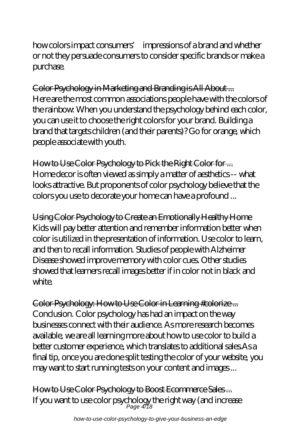how colors impact consumers' impressions of a brand and whether or not they persuade consumers to consider specific brands or make a purchase.

Color Psychology in Marketing and Branding is All About ... Here are the most common associations people have with the colors of the rainbow: When you understand the psychology behind each color, you can use it to choose the right colors for your brand. Building a brand that targets children (and their parents)? Go for orange, which people associate with youth.

How to Use Color Psychology to Pick the Right Color for ... Home decor is often viewed as simply a matter of aesthetics -- what looks attractive. But proponents of color psychology believe that the colors you use to decorate your home can have a profound ...

Using Color Psychology to Create an Emotionally Healthy Home Kids will pay better attention and remember information better when color is utilized in the presentation of information. Use color to learn, and then to recall information. Studies of people with Alzheimer Disease showed improve memory with color cues. Other studies showed that learners recall images better if in color not in black and white.

Color Psychology: How to Use Color in Learning #colorize ... Conclusion. Color psychology has had an impact on the way businesses connect with their audience. As more research becomes available, we are all learning more about how to use color to build a better customer experience, which translates to additional sales.As a final tip, once you are done split testing the color of your website, you may want to start running tests on your content and images ...

How to Use Color Psychology to Boost Ecommerce Sales ... If you want to use color psychology the right way (and increase Page 4/18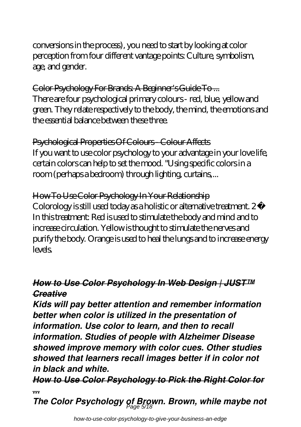conversions in the process), you need to start by looking at color perception from four different vantage points: Culture, symbolism, age, and gender.

Color Psychology For Brands: A Beginner's Guide To ... There are four psychological primary colours - red, blue, yellow and green. They relate respectively to the body, the mind, the emotions and the essential balance between these three.

Psychological Properties Of Colours - Colour Affects If you want to use color psychology to your advantage in your love life, certain colors can help to set the mood. "Using specific colors in a room (perhaps a bedroom) through lighting, curtains,...

How To Use Color Psychology In Your Relationship Colorology is still used today as a holistic or alternative treatment. 2 In this treatment: Red is used to stimulate the body and mind and to increase circulation. Yellow is thought to stimulate the nerves and purify the body. Orange is used to heal the lungs and to increase energy levels.

#### *How to Use Color Psychology In Web Design | JUST™ Creative*

*Kids will pay better attention and remember information better when color is utilized in the presentation of information. Use color to learn, and then to recall information. Studies of people with Alzheimer Disease showed improve memory with color cues. Other studies showed that learners recall images better if in color not in black and white.*

*How to Use Color Psychology to Pick the Right Color for ...*

*The Color Psychology of Brown. Brown, while maybe not* Page 5/18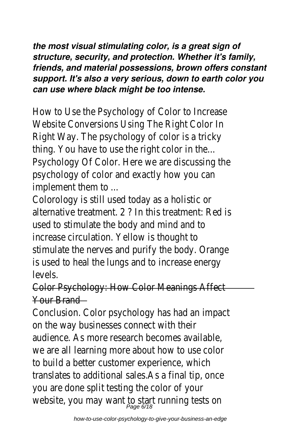*the most visual stimulating color, is a great sign of structure, security, and protection. Whether it's family, friends, and material possessions, brown offers constant support. It's also a very serious, down to earth color you can use where black might be too intense.*

How to Use the Psychology of Color to Increase Website Conversions Using The Right Color In Right Way. The psychology of color is a tricky thing. You have to use the right color in the... Psychology Of Color. Here we are discussing the psychology of color and exactly how you can implement them to ...

Colorology is still used today as a holistic or alternative treatment. 2 ? In this treatment: Red is used to stimulate the body and mind and to increase circulation. Yellow is thought to stimulate the nerves and purify the body. Orange is used to heal the lungs and to increase energy levels.

Color Psychology: How Color Meanings Affect Your Brand

Conclusion. Color psychology has had an impact on the way businesses connect with their audience. As more research becomes available, we are all learning more about how to use color to build a better customer experience, which translates to additional sales.As a final tip, once you are done split testing the color of your website, you may want to start running tests o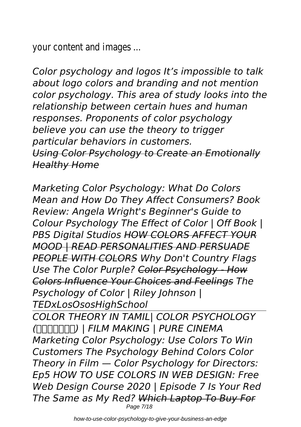your content and images ...

*Color psychology and logos It's impossible to talk about logo colors and branding and not mention color psychology. This area of study looks into the relationship between certain hues and human responses. Proponents of color psychology believe you can use the theory to trigger particular behaviors in customers. Using Color Psychology to Create an Emotionally Healthy Home*

*Marketing Color Psychology: What Do Colors Mean and How Do They Affect Consumers? Book Review: Angela Wright's Beginner's Guide to Colour Psychology The Effect of Color | Off Book | PBS Digital Studios HOW COLORS AFFECT YOUR MOOD | READ PERSONALITIES AND PERSUADE PEOPLE WITH COLORS Why Don't Country Flags Use The Color Purple? Color Psychology - How Colors Influence Your Choices and Feelings The Psychology of Color | Riley Johnson | TEDxLosOsosHighSchool COLOR THEORY IN TAMIL| COLOR PSYCHOLOGY (தமிழில்) | FILM MAKING | PURE CINEMA Marketing Color Psychology: Use Colors To Win Customers The Psychology Behind Colors Color Theory in Film — Color Psychology for Directors: Ep5 HOW TO USE COLORS IN WEB DESIGN: Free Web Design Course 2020 | Episode 7 Is Your Red The Same as My Red? Which Laptop To Buy For* Page 7/18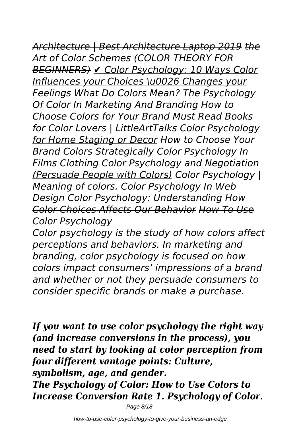# *Architecture | Best Architecture Laptop 2019 the*

*Art of Color Schemes (COLOR THEORY FOR BEGINNERS) ✔ Color Psychology: 10 Ways Color Influences your Choices \u0026 Changes your Feelings What Do Colors Mean? The Psychology Of Color In Marketing And Branding How to Choose Colors for Your Brand Must Read Books for Color Lovers | LittleArtTalks Color Psychology for Home Staging or Decor How to Choose Your Brand Colors Strategically Color Psychology In Films Clothing Color Psychology and Negotiation (Persuade People with Colors) Color Psychology | Meaning of colors. Color Psychology In Web Design Color Psychology: Understanding How Color Choices Affects Our Behavior How To Use Color Psychology*

*Color psychology is the study of how colors affect perceptions and behaviors. In marketing and branding, color psychology is focused on how colors impact consumers' impressions of a brand and whether or not they persuade consumers to consider specific brands or make a purchase.*

*If you want to use color psychology the right way (and increase conversions in the process), you need to start by looking at color perception from four different vantage points: Culture, symbolism, age, and gender. The Psychology of Color: How to Use Colors to Increase Conversion Rate 1. Psychology of Color.*

Page 8/18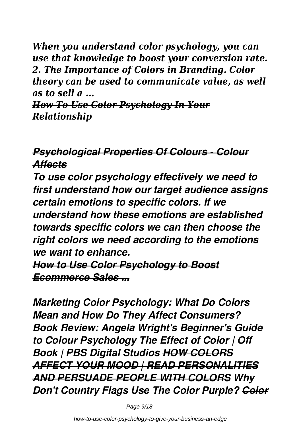*When you understand color psychology, you can use that knowledge to boost your conversion rate. 2. The Importance of Colors in Branding. Color theory can be used to communicate value, as well as to sell a ...*

*How To Use Color Psychology In Your Relationship*

### *Psychological Properties Of Colours - Colour Affects*

*To use color psychology effectively we need to first understand how our target audience assigns certain emotions to specific colors. If we understand how these emotions are established towards specific colors we can then choose the right colors we need according to the emotions we want to enhance. How to Use Color Psychology to Boost*

*Ecommerce Sales ...*

*Marketing Color Psychology: What Do Colors Mean and How Do They Affect Consumers? Book Review: Angela Wright's Beginner's Guide to Colour Psychology The Effect of Color | Off Book | PBS Digital Studios HOW COLORS AFFECT YOUR MOOD | READ PERSONALITIES AND PERSUADE PEOPLE WITH COLORS Why Don't Country Flags Use The Color Purple? Color*

Page 9/18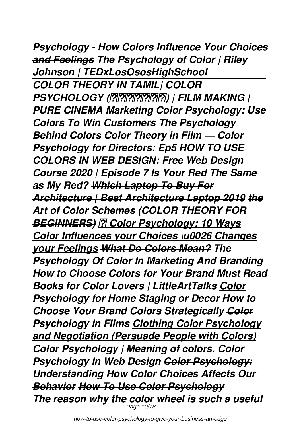*Psychology - How Colors Influence Your Choices and Feelings The Psychology of Color | Riley Johnson | TEDxLosOsosHighSchool COLOR THEORY IN TAMIL| COLOR PSYCHOLOGY (தமிழில்) | FILM MAKING | PURE CINEMA Marketing Color Psychology: Use Colors To Win Customers The Psychology Behind Colors Color Theory in Film — Color Psychology for Directors: Ep5 HOW TO USE COLORS IN WEB DESIGN: Free Web Design Course 2020 | Episode 7 Is Your Red The Same as My Red? Which Laptop To Buy For Architecture | Best Architecture Laptop 2019 the Art of Color Schemes (COLOR THEORY FOR BEGINNERS) ✔ Color Psychology: 10 Ways Color Influences your Choices \u0026 Changes your Feelings What Do Colors Mean? The Psychology Of Color In Marketing And Branding How to Choose Colors for Your Brand Must Read Books for Color Lovers | LittleArtTalks Color Psychology for Home Staging or Decor How to Choose Your Brand Colors Strategically Color Psychology In Films Clothing Color Psychology and Negotiation (Persuade People with Colors) Color Psychology | Meaning of colors. Color Psychology In Web Design Color Psychology: Understanding How Color Choices Affects Our Behavior How To Use Color Psychology The reason why the color wheel is such a useful* Page 10/18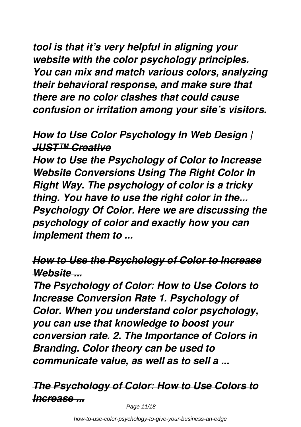*tool is that it's very helpful in aligning your website with the color psychology principles. You can mix and match various colors, analyzing their behavioral response, and make sure that there are no color clashes that could cause confusion or irritation among your site's visitors.*

#### *How to Use Color Psychology In Web Design | JUST™ Creative*

*How to Use the Psychology of Color to Increase Website Conversions Using The Right Color In Right Way. The psychology of color is a tricky thing. You have to use the right color in the... Psychology Of Color. Here we are discussing the psychology of color and exactly how you can implement them to ...*

#### *How to Use the Psychology of Color to Increase Website ...*

*The Psychology of Color: How to Use Colors to Increase Conversion Rate 1. Psychology of Color. When you understand color psychology, you can use that knowledge to boost your conversion rate. 2. The Importance of Colors in Branding. Color theory can be used to communicate value, as well as to sell a ...*

# *The Psychology of Color: How to Use Colors to Increase ...*

Page 11/18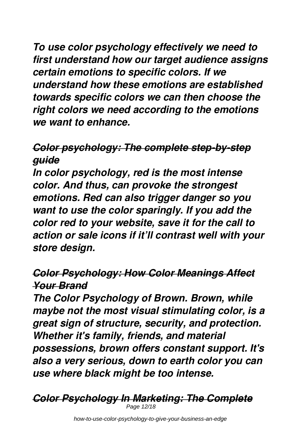*To use color psychology effectively we need to first understand how our target audience assigns certain emotions to specific colors. If we understand how these emotions are established towards specific colors we can then choose the right colors we need according to the emotions we want to enhance.*

# *Color psychology: The complete step-by-step guide*

*In color psychology, red is the most intense color. And thus, can provoke the strongest emotions. Red can also trigger danger so you want to use the color sparingly. If you add the color red to your website, save it for the call to action or sale icons if it'll contrast well with your store design.*

#### *Color Psychology: How Color Meanings Affect Your Brand*

*The Color Psychology of Brown. Brown, while maybe not the most visual stimulating color, is a great sign of structure, security, and protection. Whether it's family, friends, and material possessions, brown offers constant support. It's also a very serious, down to earth color you can use where black might be too intense.*

*Color Psychology In Marketing: The Complete* Page 12/18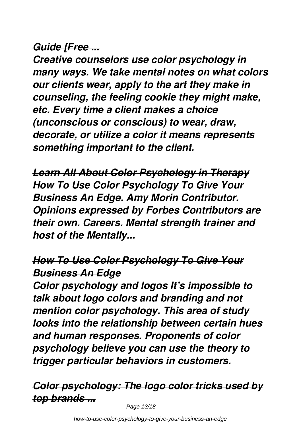#### *Guide [Free ...*

*Creative counselors use color psychology in many ways. We take mental notes on what colors our clients wear, apply to the art they make in counseling, the feeling cookie they might make, etc. Every time a client makes a choice (unconscious or conscious) to wear, draw, decorate, or utilize a color it means represents something important to the client.*

*Learn All About Color Psychology in Therapy How To Use Color Psychology To Give Your Business An Edge. Amy Morin Contributor. Opinions expressed by Forbes Contributors are their own. Careers. Mental strength trainer and host of the Mentally...*

### *How To Use Color Psychology To Give Your Business An Edge*

*Color psychology and logos It's impossible to talk about logo colors and branding and not mention color psychology. This area of study looks into the relationship between certain hues and human responses. Proponents of color psychology believe you can use the theory to trigger particular behaviors in customers.*

### *Color psychology: The logo color tricks used by top brands ...*

Page 13/18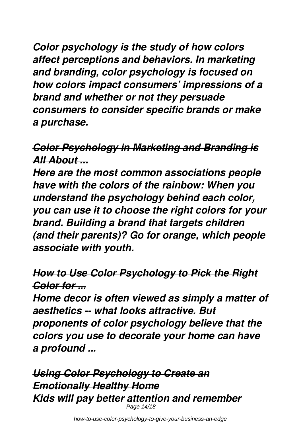*Color psychology is the study of how colors affect perceptions and behaviors. In marketing and branding, color psychology is focused on how colors impact consumers' impressions of a brand and whether or not they persuade consumers to consider specific brands or make a purchase.*

# *Color Psychology in Marketing and Branding is All About ...*

*Here are the most common associations people have with the colors of the rainbow: When you understand the psychology behind each color, you can use it to choose the right colors for your brand. Building a brand that targets children (and their parents)? Go for orange, which people associate with youth.*

#### *How to Use Color Psychology to Pick the Right Color for ...*

*Home decor is often viewed as simply a matter of aesthetics -- what looks attractive. But proponents of color psychology believe that the colors you use to decorate your home can have a profound ...*

*Using Color Psychology to Create an Emotionally Healthy Home Kids will pay better attention and remember* Page 14/18

how-to-use-color-psychology-to-give-your-business-an-edge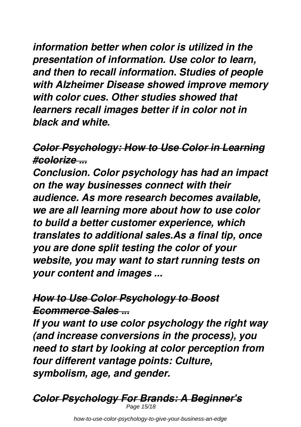*information better when color is utilized in the presentation of information. Use color to learn, and then to recall information. Studies of people with Alzheimer Disease showed improve memory with color cues. Other studies showed that learners recall images better if in color not in black and white.*

#### *Color Psychology: How to Use Color in Learning #colorize ...*

*Conclusion. Color psychology has had an impact on the way businesses connect with their audience. As more research becomes available, we are all learning more about how to use color to build a better customer experience, which translates to additional sales.As a final tip, once you are done split testing the color of your website, you may want to start running tests on your content and images ...*

#### *How to Use Color Psychology to Boost Ecommerce Sales ...*

*If you want to use color psychology the right way (and increase conversions in the process), you need to start by looking at color perception from four different vantage points: Culture, symbolism, age, and gender.*

*Color Psychology For Brands: A Beginner's* Page 15/18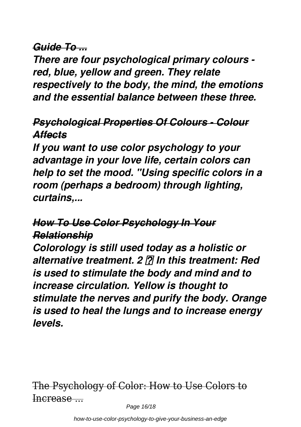#### *Guide To ...*

*There are four psychological primary colours red, blue, yellow and green. They relate respectively to the body, the mind, the emotions and the essential balance between these three.*

#### *Psychological Properties Of Colours - Colour Affects*

*If you want to use color psychology to your advantage in your love life, certain colors can help to set the mood. "Using specific colors in a room (perhaps a bedroom) through lighting, curtains,...*

### *How To Use Color Psychology In Your Relationship*

*Colorology is still used today as a holistic or alternative treatment. 2 In this treatment: Red is used to stimulate the body and mind and to increase circulation. Yellow is thought to stimulate the nerves and purify the body. Orange is used to heal the lungs and to increase energy levels.*

The Psychology of Color: How to Use Colors to Increase ...

Page 16/18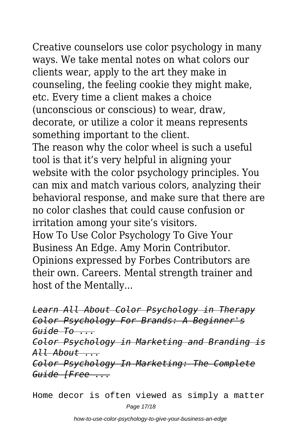Creative counselors use color psychology in many ways. We take mental notes on what colors our clients wear, apply to the art they make in counseling, the feeling cookie they might make, etc. Every time a client makes a choice (unconscious or conscious) to wear, draw, decorate, or utilize a color it means represents something important to the client. The reason why the color wheel is such a useful tool is that it's very helpful in aligning your website with the color psychology principles. You can mix and match various colors, analyzing their behavioral response, and make sure that there are no color clashes that could cause confusion or

irritation among your site's visitors.

How To Use Color Psychology To Give Your Business An Edge. Amy Morin Contributor. Opinions expressed by Forbes Contributors are their own. Careers. Mental strength trainer and host of the Mentally...

*Learn All About Color Psychology in Therapy Color Psychology For Brands: A Beginner's Guide To ... Color Psychology in Marketing and Branding is All About ... Color Psychology In Marketing: The Complete Guide [Free ...*

Home decor is often viewed as simply a matter Page 17/18